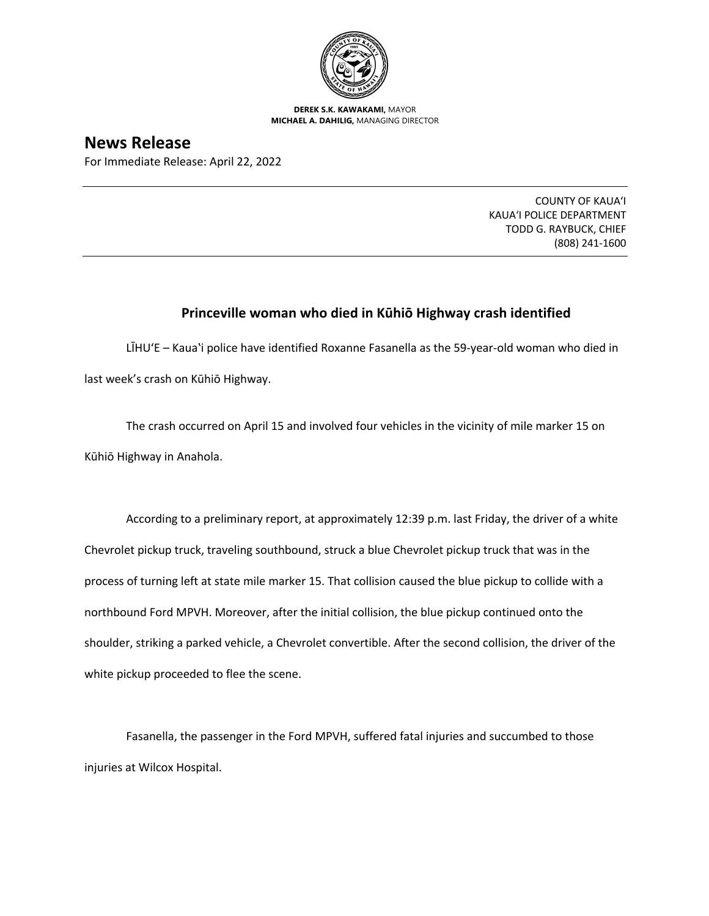

**DEREK S.K. KAWAKAMI,** MAYOR **MICHAEL A. DAHILIG,** MANAGING DIRECTOR

## **News Release**

For Immediate Release: April 22, 2022

COUNTY OF KAUA'I KAUA'I POLICE DEPARTMENT TODD G. RAYBUCK, CHIEF (808) 241-1600

## **Princeville woman who died in Kūhiō Highway crash identified**

LIHU'E – Kaua`i police have identified Roxanne Fasanella as the 59-year-old woman who died in last week's crash on Kūhiō Highway.

The crash occurred on April 15 and involved four vehicles in the vicinity of mile marker 15 on Kūhiō Highway in Anahola.

According to a preliminary report, at approximately 12:39 p.m. last Friday, the driver of a white Chevrolet pickup truck, traveling southbound, struck a blue Chevrolet pickup truck that was in the process of turning left at state mile marker 15. That collision caused the blue pickup to collide with a northbound Ford MPVH. Moreover, after the initial collision, the blue pickup continued onto the shoulder, striking a parked vehicle, a Chevrolet convertible. After the second collision, the driver of the white pickup proceeded to flee the scene.

Fasanella, the passenger in the Ford MPVH, suffered fatal injuries and succumbed to those injuries at Wilcox Hospital.